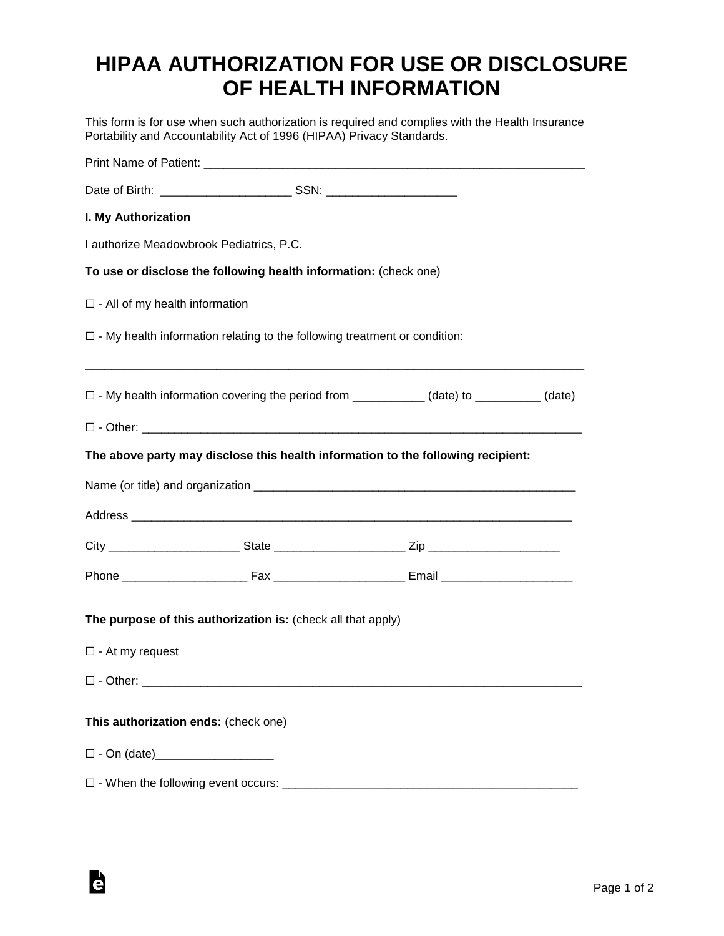# **HIPAA AUTHORIZATION FOR USE OR DISCLOSURE OF HEALTH INFORMATION**

This form is for use when such authorization is required and complies with the Health Insurance Portability and Accountability Act of 1996 (HIPAA) Privacy Standards.

| I. My Authorization                                 |                                                                                                 |  |
|-----------------------------------------------------|-------------------------------------------------------------------------------------------------|--|
| I authorize Meadowbrook Pediatrics, P.C.            |                                                                                                 |  |
|                                                     | To use or disclose the following health information: (check one)                                |  |
| $\square$ - All of my health information            |                                                                                                 |  |
|                                                     | $\Box$ - My health information relating to the following treatment or condition:                |  |
|                                                     | $\Box$ - My health information covering the period from ____________ (date) to _________ (date) |  |
|                                                     |                                                                                                 |  |
|                                                     | The above party may disclose this health information to the following recipient:                |  |
|                                                     |                                                                                                 |  |
|                                                     |                                                                                                 |  |
|                                                     |                                                                                                 |  |
|                                                     |                                                                                                 |  |
|                                                     | The purpose of this authorization is: (check all that apply)                                    |  |
| $\Box$ - At my request                              |                                                                                                 |  |
| $\square$ - Other:                                  |                                                                                                 |  |
| This authorization ends: (check one)                |                                                                                                 |  |
|                                                     |                                                                                                 |  |
| $\square$ - When the following event occurs: $\_\_$ |                                                                                                 |  |

Ġ